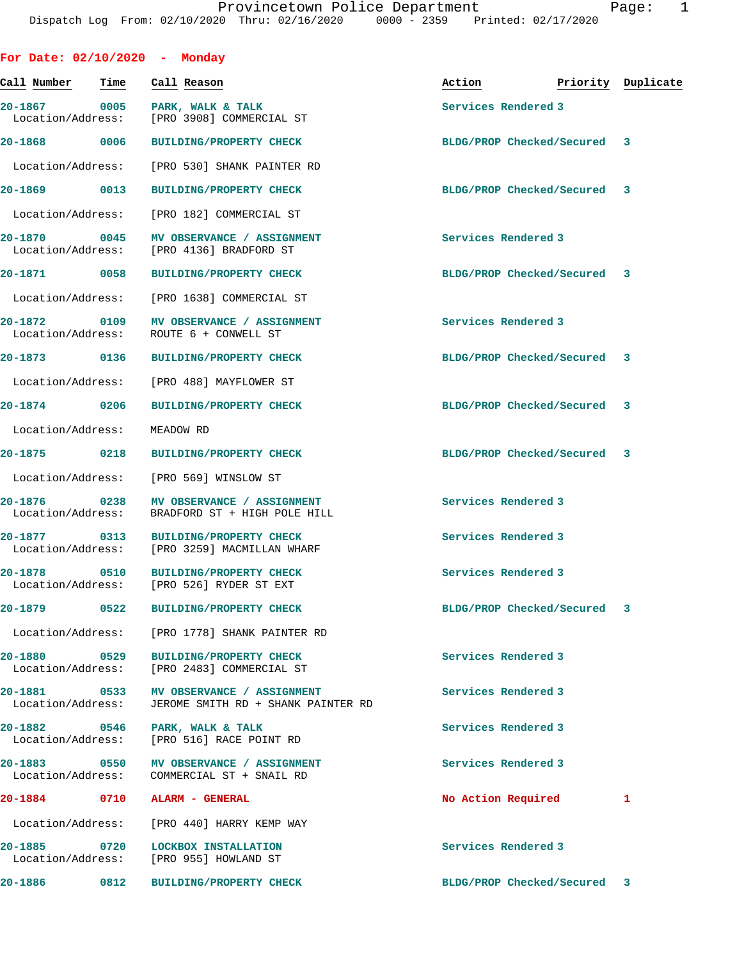| For Date: $02/10/2020$ - Monday   |      |                                                                                  |                             |                    |
|-----------------------------------|------|----------------------------------------------------------------------------------|-----------------------------|--------------------|
| Call Number                       | Time | Call Reason                                                                      | Action                      | Priority Duplicate |
| Location/Address:                 |      | 20-1867 0005 PARK, WALK & TALK<br>[PRO 3908] COMMERCIAL ST                       | Services Rendered 3         |                    |
| 20-1868 0006                      |      | <b>BUILDING/PROPERTY CHECK</b>                                                   | BLDG/PROP Checked/Secured 3 |                    |
| Location/Address:                 |      | [PRO 530] SHANK PAINTER RD                                                       |                             |                    |
| 20-1869 0013                      |      | <b>BUILDING/PROPERTY CHECK</b>                                                   | BLDG/PROP Checked/Secured 3 |                    |
|                                   |      | Location/Address: [PRO 182] COMMERCIAL ST                                        |                             |                    |
| 20-1870 0045                      |      | MV OBSERVANCE / ASSIGNMENT<br>Location/Address: [PRO 4136] BRADFORD ST           | Services Rendered 3         |                    |
| 20-1871 0058                      |      | <b>BUILDING/PROPERTY CHECK</b>                                                   | BLDG/PROP Checked/Secured 3 |                    |
| Location/Address:                 |      | [PRO 1638] COMMERCIAL ST                                                         |                             |                    |
| 20-1872 0109<br>Location/Address: |      | MV OBSERVANCE / ASSIGNMENT<br>ROUTE 6 + CONWELL ST                               | Services Rendered 3         |                    |
| 20-1873 0136                      |      | <b>BUILDING/PROPERTY CHECK</b>                                                   | BLDG/PROP Checked/Secured   | 3                  |
|                                   |      | Location/Address: [PRO 488] MAYFLOWER ST                                         |                             |                    |
| 20-1874 0206                      |      | <b>BUILDING/PROPERTY CHECK</b>                                                   | BLDG/PROP Checked/Secured 3 |                    |
| Location/Address:                 |      | MEADOW RD                                                                        |                             |                    |
| 20-1875 0218                      |      | <b>BUILDING/PROPERTY CHECK</b>                                                   | BLDG/PROP Checked/Secured 3 |                    |
| Location/Address:                 |      | [PRO 569] WINSLOW ST                                                             |                             |                    |
| 20-1876 0238<br>Location/Address: |      | MV OBSERVANCE / ASSIGNMENT<br>BRADFORD ST + HIGH POLE HILL                       | Services Rendered 3         |                    |
| 20-1877 0313                      |      | BUILDING/PROPERTY CHECK<br>Location/Address: [PRO 3259] MACMILLAN WHARF          | Services Rendered 3         |                    |
|                                   |      | 20-1878 0510 BUILDING/PROPERTY CHECK<br>Location/Address: [PRO 526] RYDER ST EXT | Services Rendered 3         |                    |
| 20-1879 – 20-1879 – 20-18         | 0522 | <b>BUILDING/PROPERTY CHECK</b>                                                   | BLDG/PROP Checked/Secured   | 3                  |
| Location/Address:                 |      | [PRO 1778] SHANK PAINTER RD                                                      |                             |                    |
| 20-1880 0529<br>Location/Address: |      | <b>BUILDING/PROPERTY CHECK</b><br>[PRO 2483] COMMERCIAL ST                       | Services Rendered 3         |                    |
| 20-1881<br>Location/Address:      | 0533 | MV OBSERVANCE / ASSIGNMENT<br>JEROME SMITH RD + SHANK PAINTER RD                 | Services Rendered 3         |                    |
| 20-1882 0546<br>Location/Address: |      | PARK, WALK & TALK<br>[PRO 516] RACE POINT RD                                     | Services Rendered 3         |                    |
| $20 - 1883$<br>Location/Address:  | 0550 | MV OBSERVANCE / ASSIGNMENT<br>COMMERCIAL ST + SNAIL RD                           | Services Rendered 3         |                    |
| 20-1884                           | 0710 | ALARM - GENERAL                                                                  | No Action Required          | 1                  |
| Location/Address:                 |      | [PRO 440] HARRY KEMP WAY                                                         |                             |                    |
| 20-1885<br>Location/Address:      | 0720 | LOCKBOX INSTALLATION<br>[PRO 955] HOWLAND ST                                     | Services Rendered 3         |                    |
| 20-1886                           | 0812 | BUILDING/PROPERTY CHECK                                                          | BLDG/PROP Checked/Secured   | 3                  |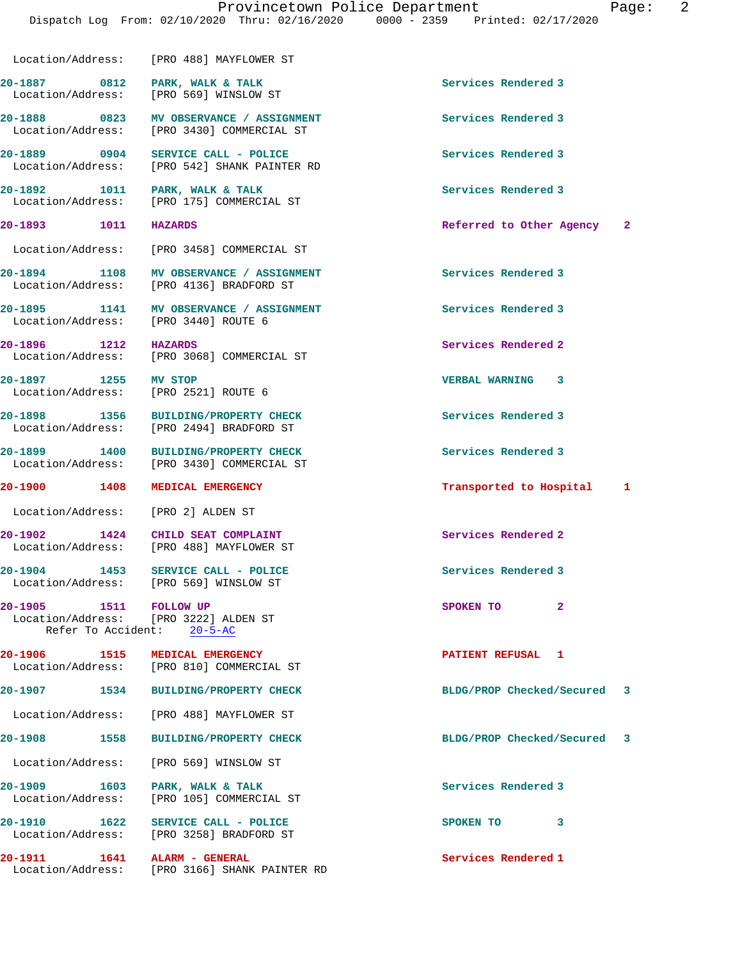Location/Address: [PRO 488] MAYFLOWER ST

20-1887 **0812** PARK, WALK & TALK **CONCLUST ASSESS** Services Rendered 3 Location/Address: [PRO 569] WINSLOW ST **20-1888 0823 MV OBSERVANCE / ASSIGNMENT Services Rendered 3**  Location/Address: [PRO 3430] COMMERCIAL ST **20-1889 0904 SERVICE CALL - POLICE Services Rendered 3**  [PRO 542] SHANK PAINTER RD **20-1892 1011 PARK, WALK & TALK Services Rendered 3**  Location/Address: [PRO 175] COMMERCIAL ST **20-1893 1011 HAZARDS Referred to Other Agency 2** Location/Address: [PRO 3458] COMMERCIAL ST 20-1894 1108 MV OBSERVANCE / ASSIGNMENT **120-1894** Services Rendered 3 Location/Address: [PRO 4136] BRADFORD ST **20-1895 1141 MV OBSERVANCE / ASSIGNMENT Services Rendered 3**  Location/Address: [PRO 3440] ROUTE 6 **20-1896** 1212 HAZARDS 120-1896 Services Rendered 2<br>
Location/Address: [PRO 3068] COMMERCIAL ST Location/Address: **20-1897 1255 MV STOP VERBAL WARNING 3**  Location/Address: [PRO 2521] ROUTE 6 **20-1898 1356 BUILDING/PROPERTY CHECK Services Rendered 3**  Location/Address: [PRO 2494] BRADFORD ST **20-1899 1400 BUILDING/PROPERTY CHECK Services Rendered 3**  Location/Address: [PRO 3430] COMMERCIAL ST **20-1900 1408 MEDICAL EMERGENCY Transported to Hospital 1** Location/Address: [PRO 2] ALDEN ST **20-1902 1424 CHILD SEAT COMPLAINT Services Rendered 2**  Location/Address: [PRO 488] MAYFLOWER ST 20-1904 1453 SERVICE CALL - POLICE **120 Services** Rendered 3 Location/Address: [PRO 569] WINSLOW ST **20-1905 1511 FOLLOW UP SPOKEN TO** 2<br> **2** Location/Address: [PRO 3222] ALDEN ST [PRO 3222] ALDEN ST Refer To Accident: 20-5-AC **20-1906 1515 MEDICAL EMERGENCY PATIENT REFUSAL 1**  Location/Address: [PRO 810] COMMERCIAL ST **20-1907 1534 BUILDING/PROPERTY CHECK BLDG/PROP Checked/Secured 3**

 Location/Address: [PRO 488] MAYFLOWER ST **20-1908 1558 BUILDING/PROPERTY CHECK BLDG/PROP Checked/Secured 3** Location/Address: [PRO 569] WINSLOW ST 20-1909 1603 PARK, WALK & TALK **Services Rendered 3**  Location/Address: [PRO 105] COMMERCIAL ST **20-1910 1622 SERVICE CALL - POLICE SPOKEN TO 3**  Location/Address: [PRO 3258] BRADFORD ST

**20-1911 1641 ALARM - GENERAL Services Rendered 1**  Location/Address: [PRO 3166] SHANK PAINTER RD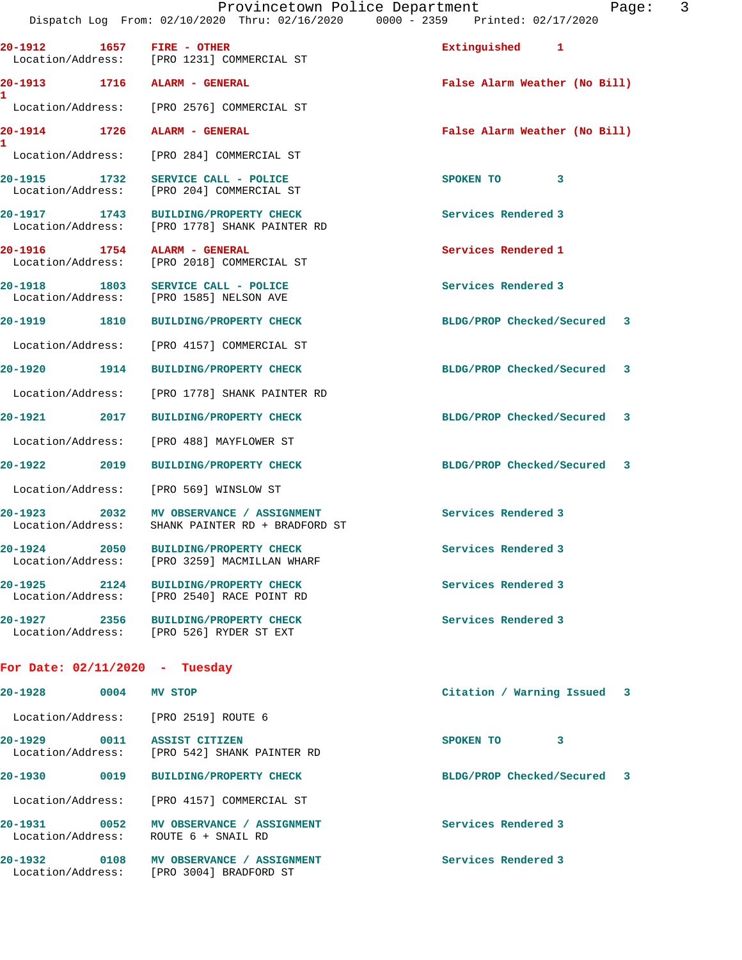**20-1912 1657 FIRE - OTHER Extinguished 1**  Location/Address: [PRO 1231] COMMERCIAL ST **20-1913 1716 ALARM - GENERAL False Alarm Weather (No Bill) 1**  Location/Address: [PRO 2576] COMMERCIAL ST **20-1914 1726 ALARM - GENERAL False Alarm Weather (No Bill) 1**  Location/Address: [PRO 284] COMMERCIAL ST **20-1915 1732 SERVICE CALL - POLICE SPOKEN TO 3**  Location/Address: [PRO 204] COMMERCIAL ST **20-1917 1743 BUILDING/PROPERTY CHECK Services Rendered 3**  Location/Address: [PRO 1778] SHANK PAINTER RD **20-1916 1754 ALARM - GENERAL Services Rendered 1**  Location/Address: [PRO 2018] COMMERCIAL ST **20-1918 1803 SERVICE CALL - POLICE Services Rendered 3**  Location/Address: [PRO 1585] NELSON AVE **20-1919 1810 BUILDING/PROPERTY CHECK BLDG/PROP Checked/Secured 3** Location/Address: [PRO 4157] COMMERCIAL ST **20-1920 1914 BUILDING/PROPERTY CHECK BLDG/PROP Checked/Secured 3** Location/Address: [PRO 1778] SHANK PAINTER RD **20-1921 2017 BUILDING/PROPERTY CHECK BLDG/PROP Checked/Secured 3** Location/Address: [PRO 488] MAYFLOWER ST **20-1922 2019 BUILDING/PROPERTY CHECK BLDG/PROP Checked/Secured 3** Location/Address: [PRO 569] WINSLOW ST 20-1923 2032 MV OBSERVANCE / ASSIGNMENT **Services Rendered 3**  Location/Address: SHANK PAINTER RD + BRADFORD ST **20-1924 2050 BUILDING/PROPERTY CHECK Services Rendered 3**  Location/Address: [PRO 3259] MACMILLAN WHARF **20-1925 2124 BUILDING/PROPERTY CHECK Services Rendered 3**  Location/Address: [PRO 2540] RACE POINT RD **20-1927 2356 BUILDING/PROPERTY CHECK Services Rendered 3**  Location/Address: [PRO 526] RYDER ST EXT

## **For Date: 02/11/2020 - Tuesday**

| $20 - 1928$                      | 0004 | MV STOP                                              | Citation / Warning Issued 3 |  |
|----------------------------------|------|------------------------------------------------------|-----------------------------|--|
| Location/Address:                |      | [PRO 2519] ROUTE 6                                   |                             |  |
| $20 - 1929$<br>Location/Address: | 0011 | <b>ASSIST CITIZEN</b><br>[PRO 542] SHANK PAINTER RD  | 3<br>SPOKEN TO              |  |
| $20 - 1930$                      | 0019 | <b>BUILDING/PROPERTY CHECK</b>                       | BLDG/PROP Checked/Secured 3 |  |
| Location/Address:                |      | [PRO 4157] COMMERCIAL ST                             |                             |  |
| $20 - 1931$<br>Location/Address: | 0052 | MV OBSERVANCE / ASSIGNMENT<br>ROUTE 6 + SNAIL RD     | Services Rendered 3         |  |
| $20 - 1932$<br>Location/Address: | 0108 | MV OBSERVANCE / ASSIGNMENT<br>[PRO 3004] BRADFORD ST | Services Rendered 3         |  |
|                                  |      |                                                      |                             |  |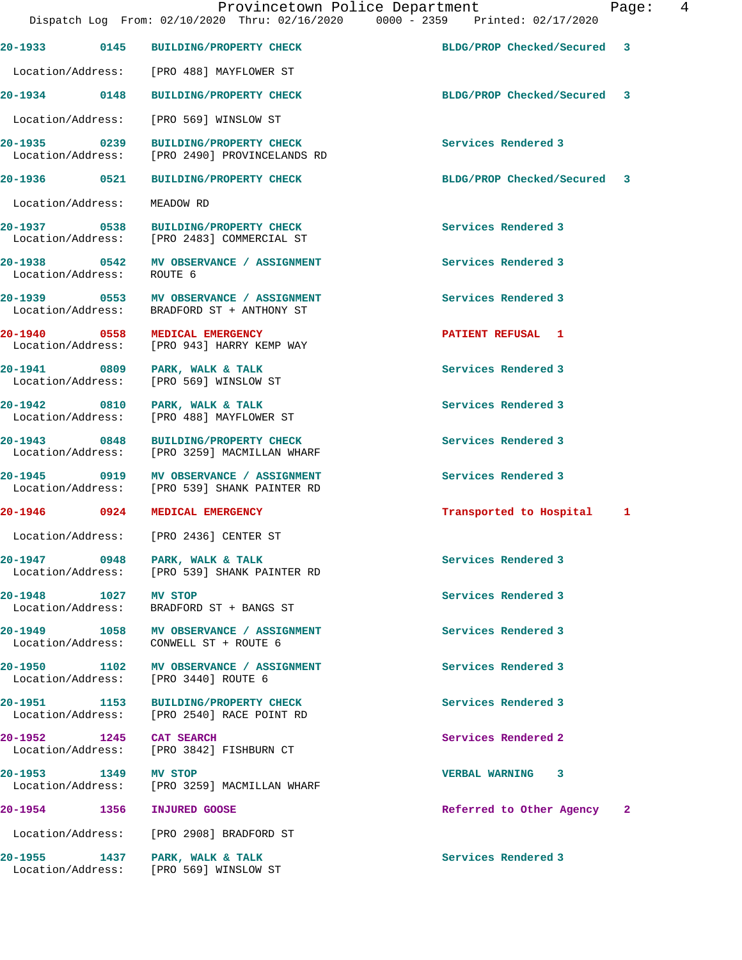Provincetown Police Department Fage: 4 Dispatch Log From: 02/10/2020 Thru: 02/16/2020 0000 - 2359 Printed: 02/17/2020 **20-1933 0145 BUILDING/PROPERTY CHECK BLDG/PROP Checked/Secured 3** Location/Address: [PRO 488] MAYFLOWER ST **20-1934 0148 BUILDING/PROPERTY CHECK BLDG/PROP Checked/Secured 3** Location/Address: [PRO 569] WINSLOW ST **20-1935 0239 BUILDING/PROPERTY CHECK Services Rendered 3**  Location/Address: [PRO 2490] PROVINCELANDS RD **20-1936 0521 BUILDING/PROPERTY CHECK BLDG/PROP Checked/Secured 3** Location/Address: MEADOW RD **20-1937 0538 BUILDING/PROPERTY CHECK Services Rendered 3**  Location/Address: [PRO 2483] COMMERCIAL ST **20-1938 0542 MV OBSERVANCE / ASSIGNMENT Services Rendered 3**  Location/Address: ROUTE 6 **20-1939 0553 MV OBSERVANCE / ASSIGNMENT Services Rendered 3**  Location/Address: BRADFORD ST + ANTHONY ST **20-1940** 0558 MEDICAL EMERGENCY **PATIENT REFUSAL 1**<br>
Location/Address: [PRO 943] HARRY KEMP WAY [PRO 943] HARRY KEMP WAY **20-1941 0809 PARK, WALK & TALK Services Rendered 3**  Location/Address: [PRO 569] WINSLOW ST 20-1942 0810 PARK, WALK & TALK **Services Rendered 3**  Location/Address: [PRO 488] MAYFLOWER ST **20-1943 0848 BUILDING/PROPERTY CHECK Services Rendered 3**  Location/Address: [PRO 3259] MACMILLAN WHARF **20-1945 0919 MV OBSERVANCE / ASSIGNMENT Services Rendered 3**  Location/Address: [PRO 539] SHANK PAINTER RD **20-1946 0924 MEDICAL EMERGENCY Transported to Hospital 1** Location/Address: [PRO 2436] CENTER ST **20-1947 0948 PARK, WALK & TALK Services Rendered 3**  Location/Address: [PRO 539] SHANK PAINTER RD **20-1948 1027 MV STOP Services Rendered 3**  BRADFORD ST + BANGS ST **20-1949 1058 MV OBSERVANCE / ASSIGNMENT Services Rendered 3**  Location/Address: CONWELL ST + ROUTE 6 **20-1950 1102 MV OBSERVANCE / ASSIGNMENT Services Rendered 3**  Location/Address: [PRO 3440] ROUTE 6 **20-1951 1153 BUILDING/PROPERTY CHECK Services Rendered 3**  [PRO 2540] RACE POINT RD **20-1952 1245 CAT SEARCH Services Rendered 2**  Location/Address: [PRO 3842] FISHBURN CT **20-1953 1349 MV STOP VERBAL WARNING 3**  [PRO 3259] MACMILLAN WHARF **20-1954 1356 INJURED GOOSE Referred to Other Agency 2** Location/Address: [PRO 2908] BRADFORD ST **20-1955 1437 PARK, WALK & TALK Services Rendered 3**  Location/Address: [PRO 569] WINSLOW ST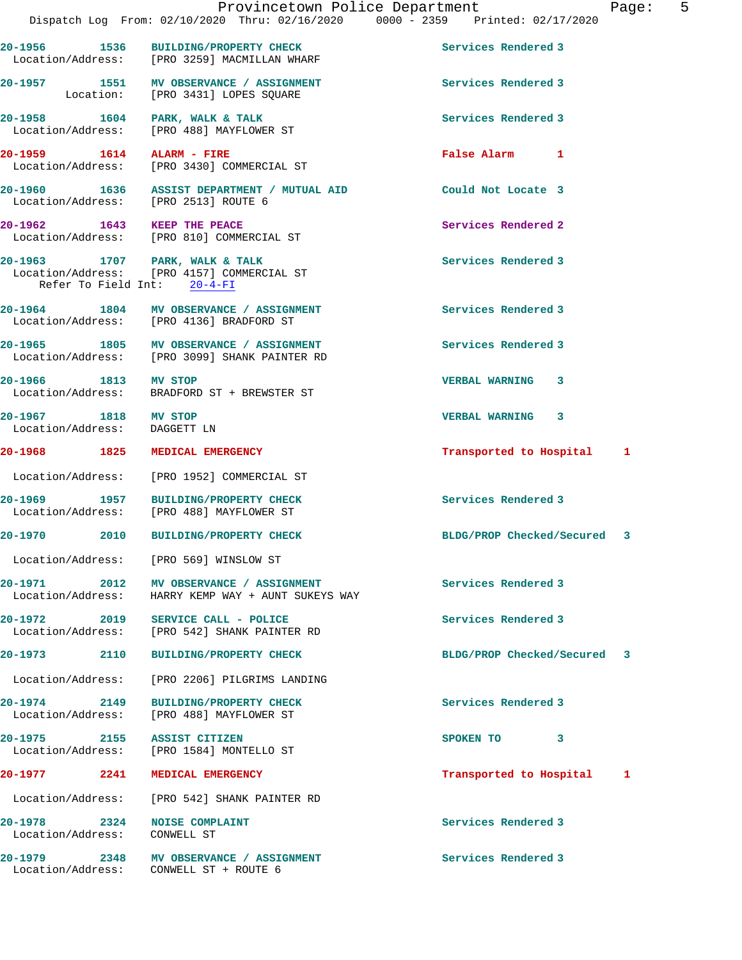|         | 20-1956 1536         | <b>BUILDING/PROPERTY CHECK</b><br>Location/Address: [PRO 3259] MACMILLAN WHARF                              | Services Rendered 3         |   |
|---------|----------------------|-------------------------------------------------------------------------------------------------------------|-----------------------------|---|
|         |                      | 20-1957 1551 MV OBSERVANCE / ASSIGNMENT<br>Location: [PRO 3431] LOPES SQUARE                                | Services Rendered 3         |   |
|         |                      | 20-1958 1604 PARK, WALK & TALK<br>Location/Address: [PRO 488] MAYFLOWER ST                                  | Services Rendered 3         |   |
|         |                      | 20-1959 1614 ALARM - FIRE<br>Location/Address: [PRO 3430] COMMERCIAL ST                                     | False Alarm 1               |   |
|         |                      | 20-1960 1636 ASSIST DEPARTMENT / MUTUAL AID<br>Location/Address: [PRO 2513] ROUTE 6                         | Could Not Locate 3          |   |
|         |                      | 20-1962 1643 KEEP THE PEACE<br>Location/Address: [PRO 810] COMMERCIAL ST                                    | Services Rendered 2         |   |
|         |                      | 20-1963 1707 PARK, WALK & TALK<br>Location/Address: [PRO 4157] COMMERCIAL ST<br>Refer To Field Int: 20-4-FI | Services Rendered 3         |   |
|         |                      | 20-1964 1804 MV OBSERVANCE / ASSIGNMENT<br>Location/Address: [PRO 4136] BRADFORD ST                         | Services Rendered 3         |   |
|         |                      | 20-1965 1805 MV OBSERVANCE / ASSIGNMENT<br>Location/Address: [PRO 3099] SHANK PAINTER RD                    | Services Rendered 3         |   |
|         | 20-1966 1813 MV STOP | Location/Address: BRADFORD ST + BREWSTER ST                                                                 | <b>VERBAL WARNING</b><br>3  |   |
|         | 20-1967 1818 MV STOP | Location/Address: DAGGETT LN                                                                                | VERBAL WARNING 3            |   |
|         |                      |                                                                                                             |                             |   |
|         | 20-1968 1825         | MEDICAL EMERGENCY                                                                                           | Transported to Hospital 1   |   |
|         |                      | Location/Address: [PRO 1952] COMMERCIAL ST                                                                  |                             |   |
|         | 20-1969 1957         | <b>BUILDING/PROPERTY CHECK</b><br>Location/Address: [PRO 488] MAYFLOWER ST                                  | Services Rendered 3         |   |
|         |                      | 20-1970 2010 BUILDING/PROPERTY CHECK                                                                        | BLDG/PROP Checked/Secured 3 |   |
|         |                      | Location/Address: [PRO 569] WINSLOW ST                                                                      |                             |   |
| 20-1971 | 2012                 | MV OBSERVANCE / ASSIGNMENT<br>Location/Address: HARRY KEMP WAY + AUNT SUKEYS WAY                            | Services Rendered 3         |   |
|         |                      | 20-1972 2019 SERVICE CALL - POLICE<br>Location/Address: [PRO 542] SHANK PAINTER RD                          | Services Rendered 3         |   |
|         | 20-1973 2110         | <b>BUILDING/PROPERTY CHECK</b>                                                                              | BLDG/PROP Checked/Secured 3 |   |
|         |                      | Location/Address: [PRO 2206] PILGRIMS LANDING                                                               |                             |   |
|         | 20-1974 2149         | <b>BUILDING/PROPERTY CHECK</b><br>Location/Address: [PRO 488] MAYFLOWER ST                                  | Services Rendered 3         |   |
|         |                      | 20-1975 2155 ASSIST CITIZEN<br>Location/Address: [PRO 1584] MONTELLO ST                                     | SPOKEN TO<br>3              |   |
|         |                      | 20-1977 2241 MEDICAL EMERGENCY                                                                              | Transported to Hospital     | 1 |
|         |                      | Location/Address: [PRO 542] SHANK PAINTER RD                                                                |                             |   |
|         |                      | 20-1978 2324 NOISE COMPLAINT<br>Location/Address: CONWELL ST                                                | Services Rendered 3         |   |

20-1979 2348 MV OBSERVANCE / ASSIGNMENT **Services Rendered 3** 

Location/Address: CONWELL ST + ROUTE 6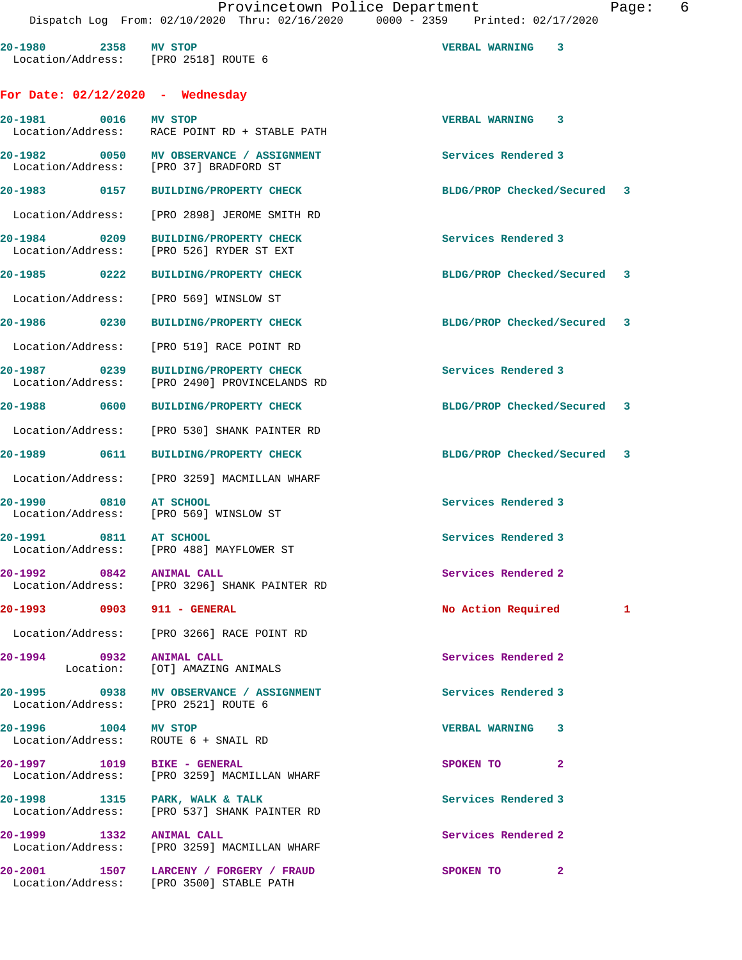| 20-1980 2358 MV STOP<br>Location/Address: [PRO 2518] ROUTE 6 |                                                                                    | <b>VERBAL WARNING</b><br>3  |  |
|--------------------------------------------------------------|------------------------------------------------------------------------------------|-----------------------------|--|
| For Date: $02/12/2020$ - Wednesday                           |                                                                                    |                             |  |
| 20-1981 0016                                                 | MV STOP<br>Location/Address: RACE POINT RD + STABLE PATH                           | VERBAL WARNING 3            |  |
| 20-1982<br>Location/Address:                                 | 0050 MV OBSERVANCE / ASSIGNMENT<br>[PRO 37] BRADFORD ST                            | Services Rendered 3         |  |
| 20-1983 0157                                                 | <b>BUILDING/PROPERTY CHECK</b>                                                     | BLDG/PROP Checked/Secured 3 |  |
|                                                              | Location/Address: [PRO 2898] JEROME SMITH RD                                       |                             |  |
| 20-1984 0209<br>Location/Address:                            | <b>BUILDING/PROPERTY CHECK</b><br>[PRO 526] RYDER ST EXT                           | Services Rendered 3         |  |
| 20-1985 0222                                                 | <b>BUILDING/PROPERTY CHECK</b>                                                     | BLDG/PROP Checked/Secured 3 |  |
| Location/Address:                                            | [PRO 569] WINSLOW ST                                                               |                             |  |
| 20-1986 0230                                                 | <b>BUILDING/PROPERTY CHECK</b>                                                     | BLDG/PROP Checked/Secured 3 |  |
| Location/Address:                                            | FRO 5191 RACE POINT RD                                                             |                             |  |
| 20-1987 0239<br>Location/Address:                            | <b>BUILDING/PROPERTY CHECK</b><br>[PRO 2490] PROVINCELANDS RD                      | Services Rendered 3         |  |
| 20-1988 0600                                                 | <b>BUILDING/PROPERTY CHECK</b>                                                     | BLDG/PROP Checked/Secured 3 |  |
| Location/Address:                                            | [PRO 530] SHANK PAINTER RD                                                         |                             |  |
| 20-1989 0611                                                 | <b>BUILDING/PROPERTY CHECK</b>                                                     | BLDG/PROP Checked/Secured 3 |  |
|                                                              | Location/Address: [PRO 3259] MACMILLAN WHARF                                       |                             |  |
| 0810<br>20-1990<br>Location/Address:                         | AT SCHOOL<br>[PRO 569] WINSLOW ST                                                  | Services Rendered 3         |  |
| 20-1991 0811 AT SCHOOL                                       | Location/Address: [PRO 488] MAYFLOWER ST                                           | Services Rendered 3         |  |
| $20 - 1992$<br>$\overline{0842}$                             | <b>ANIMAL CALL</b><br>Location/Address: [PRO 3296] SHANK PAINTER RD                | Services Rendered 2         |  |
|                                                              |                                                                                    | No Action Required<br>1     |  |
|                                                              | Location/Address: [PRO 3266] RACE POINT RD                                         |                             |  |
| 20-1994 0932 ANIMAL CALL                                     | Location: [OT] AMAZING ANIMALS                                                     | Services Rendered 2         |  |
| Location/Address: [PRO 2521] ROUTE 6                         | 20-1995 0938 MV OBSERVANCE / ASSIGNMENT                                            | Services Rendered 3         |  |
| 20-1996 1004 MV STOP<br>Location/Address: ROUTE 6 + SNAIL RD |                                                                                    | <b>VERBAL WARNING 3</b>     |  |
| 20-1997 1019 BIKE - GENERAL                                  | Location/Address: [PRO 3259] MACMILLAN WHARF                                       | $\mathbf{2}$<br>SPOKEN TO   |  |
| 20-1998 1315 PARK, WALK & TALK                               | Location/Address: [PRO 537] SHANK PAINTER RD                                       | Services Rendered 3         |  |
| 20-1999 1332 ANIMAL CALL                                     | Location/Address: [PRO 3259] MACMILLAN WHARF                                       | Services Rendered 2         |  |
|                                                              | 20-2001 1507 LARCENY / FORGERY / FRAUD<br>Location/Address: [PRO 3500] STABLE PATH | $\mathbf{2}$<br>SPOKEN TO   |  |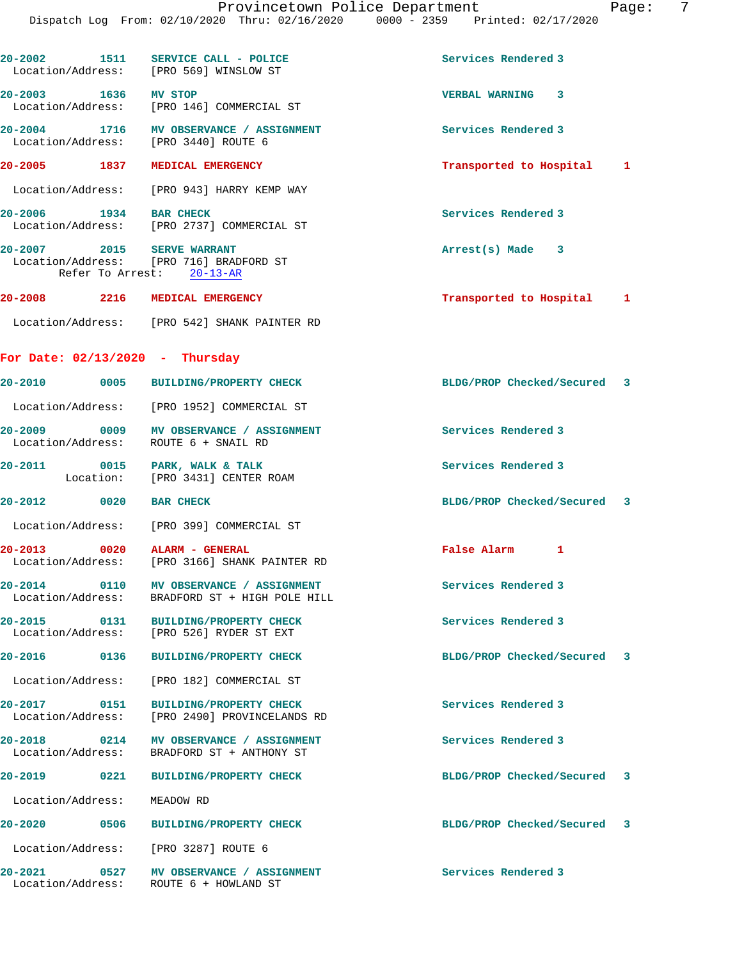| 20-2002<br>1511                   | SERVICE CALL - POLICE<br>Location/Address: [PRO 569] WINSLOW ST                 | Services Rendered 3         |   |
|-----------------------------------|---------------------------------------------------------------------------------|-----------------------------|---|
| 20-2003 1636 MV STOP              | Location/Address: [PRO 146] COMMERCIAL ST                                       | VERBAL WARNING 3            |   |
|                                   | 20-2004 1716 MV OBSERVANCE / ASSIGNMENT<br>Location/Address: [PRO 3440] ROUTE 6 | Services Rendered 3         |   |
| 20-2005 1837                      | MEDICAL EMERGENCY                                                               | Transported to Hospital 1   |   |
|                                   | Location/Address: [PRO 943] HARRY KEMP WAY                                      |                             |   |
| 20-2006 1934 BAR CHECK            | Location/Address: [PRO 2737] COMMERCIAL ST                                      | Services Rendered 3         |   |
| 20-2007 2015 SERVE WARRANT        | Location/Address: [PRO 716] BRADFORD ST<br>Refer To Arrest: 20-13-AR            | $Arrest(s)$ Made $3$        |   |
| 20-2008 2216 MEDICAL EMERGENCY    |                                                                                 | Transported to Hospital 1   |   |
|                                   | Location/Address: [PRO 542] SHANK PAINTER RD                                    |                             |   |
| For Date: $02/13/2020$ - Thursday |                                                                                 |                             |   |
|                                   | 20-2010 0005 BUILDING/PROPERTY CHECK                                            | BLDG/PROP Checked/Secured 3 |   |
|                                   | Location/Address: [PRO 1952] COMMERCIAL ST                                      |                             |   |
| Location/Address:                 | 20-2009 0009 MV OBSERVANCE / ASSIGNMENT<br>ROUTE 6 + SNAIL RD                   | Services Rendered 3         |   |
| 20-2011 0015 PARK, WALK & TALK    | Location: [PRO 3431] CENTER ROAM                                                | Services Rendered 3         |   |
| $20 - 2012$<br>0020               | <b>BAR CHECK</b>                                                                | BLDG/PROP Checked/Secured 3 |   |
|                                   | Location/Address: [PRO 399] COMMERCIAL ST                                       |                             |   |
| 20-2013 0020                      | ALARM - GENERAL<br>Location/Address: [PRO 3166] SHANK PAINTER RD                | False Alarm 1               |   |
| 20-2014 0110<br>Location/Address: | MV OBSERVANCE / ASSIGNMENT<br>BRADFORD ST + HIGH POLE HILL                      | Services Rendered 3         |   |
| 20-2015 0131                      | <b>BUILDING/PROPERTY CHECK</b><br>Location/Address: [PRO 526] RYDER ST EXT      | Services Rendered 3         |   |
| 20-2016 0136                      | <b>BUILDING/PROPERTY CHECK</b>                                                  | BLDG/PROP Checked/Secured   | 3 |
| Location/Address:                 | [PRO 182] COMMERCIAL ST                                                         |                             |   |
| 20-2017 0151<br>Location/Address: | <b>BUILDING/PROPERTY CHECK</b><br>[PRO 2490] PROVINCELANDS RD                   | Services Rendered 3         |   |
| Location/Address:                 | BRADFORD ST + ANTHONY ST                                                        | Services Rendered 3         |   |
| 20-2019 0221                      | <b>BUILDING/PROPERTY CHECK</b>                                                  | BLDG/PROP Checked/Secured 3 |   |
| Location/Address:                 | MEADOW RD                                                                       |                             |   |
| 20-2020<br>0506                   | <b>BUILDING/PROPERTY CHECK</b>                                                  | BLDG/PROP Checked/Secured 3 |   |
|                                   | Location/Address: [PRO 3287] ROUTE 6                                            |                             |   |
| 20-2021 0527<br>Location/Address: | MV OBSERVANCE / ASSIGNMENT<br>ROUTE 6 + HOWLAND ST                              | Services Rendered 3         |   |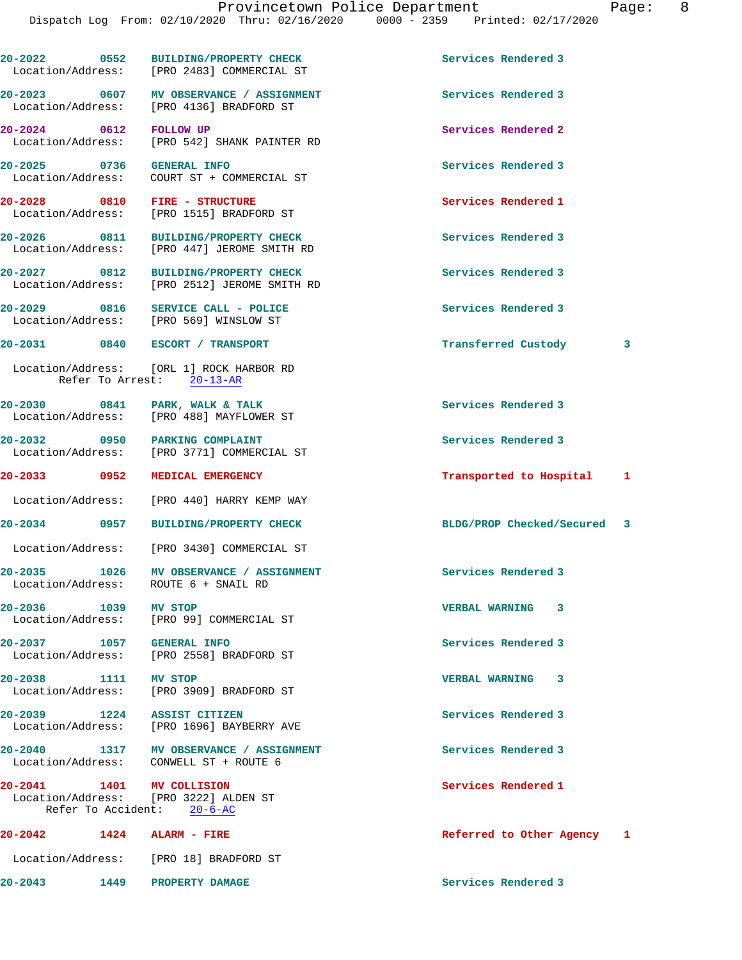|                                                | 20-2022 0552 BUILDING/PROPERTY CHECK<br>Location/Address: [PRO 2483] COMMERCIAL ST  | Services Rendered 3         |   |
|------------------------------------------------|-------------------------------------------------------------------------------------|-----------------------------|---|
|                                                | 20-2023 0607 MV OBSERVANCE / ASSIGNMENT<br>Location/Address: [PRO 4136] BRADFORD ST | Services Rendered 3         |   |
| 20-2024 0612 FOLLOW UP                         | Location/Address: [PRO 542] SHANK PAINTER RD                                        | Services Rendered 2         |   |
| 20-2025 0736 GENERAL INFO<br>Location/Address: | COURT ST + COMMERCIAL ST                                                            | Services Rendered 3         |   |
|                                                | 20-2028 0810 FIRE - STRUCTURE<br>Location/Address: [PRO 1515] BRADFORD ST           | Services Rendered 1         |   |
|                                                | 20-2026 0811 BUILDING/PROPERTY CHECK<br>Location/Address: [PRO 447] JEROME SMITH RD | Services Rendered 3         |   |
| 20-2027 0812                                   | <b>BUILDING/PROPERTY CHECK</b><br>Location/Address: [PRO 2512] JEROME SMITH RD      | Services Rendered 3         |   |
|                                                | 20-2029 0816 SERVICE CALL - POLICE<br>Location/Address: [PRO 569] WINSLOW ST        | Services Rendered 3         |   |
|                                                | 20-2031 0840 ESCORT / TRANSPORT                                                     | Transferred Custody         | 3 |
|                                                | Location/Address: [ORL 1] ROCK HARBOR RD<br>Refer To Arrest: 20-13-AR               |                             |   |
|                                                | 20-2030 0841 PARK, WALK & TALK<br>Location/Address: [PRO 488] MAYFLOWER ST          | Services Rendered 3         |   |
|                                                | 20-2032 0950 PARKING COMPLAINT<br>Location/Address: [PRO 3771] COMMERCIAL ST        | Services Rendered 3         |   |
|                                                | 20-2033 0952 MEDICAL EMERGENCY                                                      | Transported to Hospital 1   |   |
|                                                | Location/Address: [PRO 440] HARRY KEMP WAY                                          |                             |   |
| 20-2034 0957                                   | BUILDING/PROPERTY CHECK                                                             | BLDG/PROP Checked/Secured 3 |   |
|                                                | Location/Address: [PRO 3430] COMMERCIAL ST                                          |                             |   |
| 20-2035 1026                                   | MV OBSERVANCE / ASSIGNMENT<br>Location/Address: ROUTE 6 + SNAIL RD                  | Services Rendered 3         |   |
| 20-2036 1039                                   | MV STOP<br>Location/Address: [PRO 99] COMMERCIAL ST                                 | <b>VERBAL WARNING</b><br>3  |   |
| 20-2037 1057 GENERAL INFO                      | Location/Address: [PRO 2558] BRADFORD ST                                            | Services Rendered 3         |   |
| 20-2038 1111 MV STOP                           | Location/Address: [PRO 3909] BRADFORD ST                                            | <b>VERBAL WARNING</b><br>3  |   |
|                                                | 20-2039 1224 ASSIST CITIZEN<br>Location/Address: [PRO 1696] BAYBERRY AVE            | Services Rendered 3         |   |
|                                                | 20-2040 1317 MV OBSERVANCE / ASSIGNMENT<br>Location/Address: CONWELL ST + ROUTE 6   | Services Rendered 3         |   |
| 20-2041 1401 MV COLLISION                      | Location/Address: [PRO 3222] ALDEN ST<br>Refer To Accident: 20-6-AC                 | Services Rendered 1         |   |
| 20-2042 1424 ALARM - FIRE                      |                                                                                     | Referred to Other Agency 1  |   |
|                                                |                                                                                     |                             |   |
|                                                | Location/Address: [PRO 18] BRADFORD ST                                              |                             |   |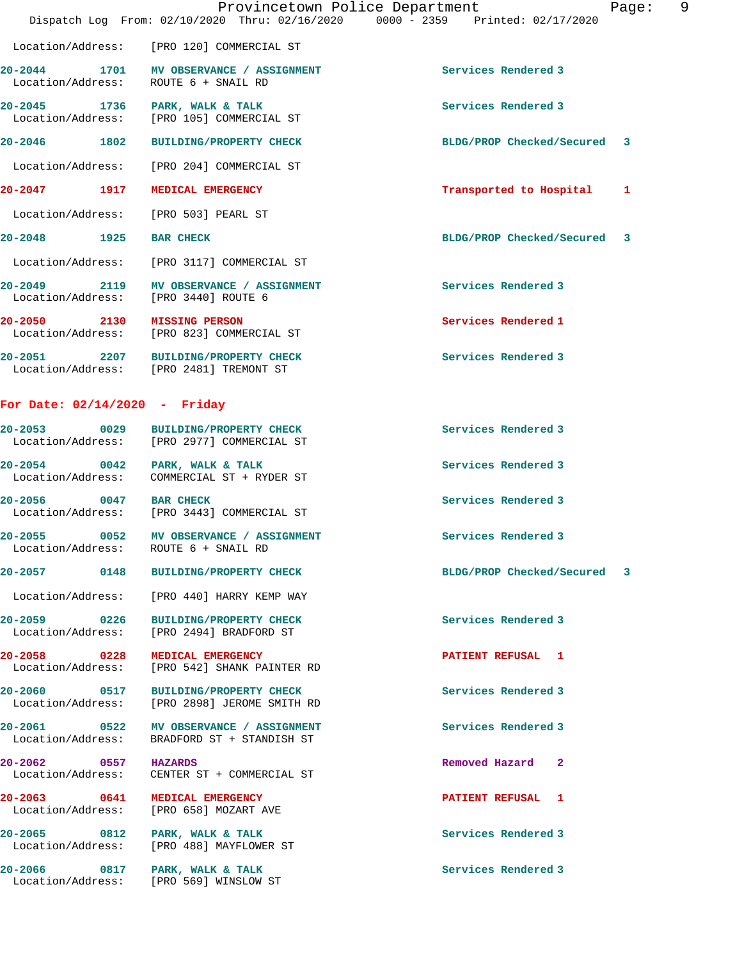|                                  |      | Provincetown Police Department<br>Dispatch Log From: 02/10/2020 Thru: 02/16/2020 0000 - 2359 Printed: 02/17/2020 |                             | Page: | 9 |
|----------------------------------|------|------------------------------------------------------------------------------------------------------------------|-----------------------------|-------|---|
|                                  |      | Location/Address: [PRO 120] COMMERCIAL ST                                                                        |                             |       |   |
| $20 - 2044$<br>Location/Address: |      | 1701 MV OBSERVANCE / ASSIGNMENT<br>ROUTE 6 + SNAIL RD                                                            | Services Rendered 3         |       |   |
| $20 - 2045$<br>Location/Address: | 1736 | PARK, WALK & TALK<br>[PRO 105] COMMERCIAL ST                                                                     | Services Rendered 3         |       |   |
| $20 - 2046$                      | 1802 | <b>BUILDING/PROPERTY CHECK</b>                                                                                   | BLDG/PROP Checked/Secured 3 |       |   |
| Location/Address:                |      | [PRO 204] COMMERCIAL ST                                                                                          |                             |       |   |
| $20 - 2047$                      | 1917 | MEDICAL EMERGENCY                                                                                                | Transported to Hospital     | 1     |   |
| Location/Address:                |      | [PRO 503] PEARL ST                                                                                               |                             |       |   |
| $20 - 2048$                      | 1925 | <b>BAR CHECK</b>                                                                                                 | BLDG/PROP Checked/Secured 3 |       |   |
| Location/Address:                |      | [PRO 3117] COMMERCIAL ST                                                                                         |                             |       |   |
| $20 - 2049$<br>Location/Address: | 2119 | MV OBSERVANCE / ASSIGNMENT<br>[PRO 3440] ROUTE 6                                                                 | Services Rendered 3         |       |   |
| $20 - 2050$<br>Location/Address: | 2130 | <b>MISSING PERSON</b><br>[PRO 823] COMMERCIAL ST                                                                 | Services Rendered 1         |       |   |
|                                  |      |                                                                                                                  |                             |       |   |

**20-2051 2207 BUILDING/PROPERTY CHECK Services Rendered 3**  Location/Address: [PRO 2481] TREMONT ST

## **For Date: 02/14/2020 - Friday**

| 20-2053<br>Location/Address: | 0029 | <b>BUILDING/PROPERTY CHECK</b><br>[PRO 2977] COMMERCIAL ST | Services Rendered 3 |
|------------------------------|------|------------------------------------------------------------|---------------------|
| 20-2054<br>Location/Address: | 0042 | PARK, WALK & TALK<br>COMMERCIAL ST + RYDER ST              | Services Rendered 3 |
| 20-2056<br>Location/Address: | 0047 | <b>BAR CHECK</b><br>[PRO 3443] COMMERCIAL ST               | Services Rendered 3 |
| 20-2055                      | 0052 | <b>MV OBSERVANCE</b><br><b>ASSIGNMENT</b>                  | Services Rendered 3 |

Location/Address: ROUTE 6 + SNAIL RD

**20-2057 0148 BUILDING/PROPERTY CHECK BLDG/PROP Checked/Secured 3**

Location/Address: [PRO 440] HARRY KEMP WAY

**20-2059 0226 BUILDING/PROPERTY CHECK Services Rendered 3**  Location/Address: [PRO 2494] BRADFORD ST

**20-2058 0228 MEDICAL EMERGENCY PATIENT REFUSAL 1**  Location/Address: [PRO 542] SHANK PAINTER RD

**20-2060 0517 BUILDING/PROPERTY CHECK Services Rendered 3**  Location/Address: [PRO 2898] JEROME SMITH RD

**20-2061 0522 MV OBSERVANCE / ASSIGNMENT Services Rendered 3**  Location/Address: BRADFORD ST + STANDISH ST

**20-2062 0557 HAZARDS Removed Hazard 2**  Location/Address: CENTER ST + COMMERCIAL ST

**20-2063 0641 MEDICAL EMERGENCY PATIENT REFUSAL 1**  Location/Address: [PRO 658] MOZART AVE

20-2065 0812 PARK, WALK & TALK **Services Rendered 3** Location/Address: [PRO 488] MAYFLOWER ST

20-2066 0817 PARK, WALK & TALK **Services Rendered 3** Location/Address: [PRO 569] WINSLOW ST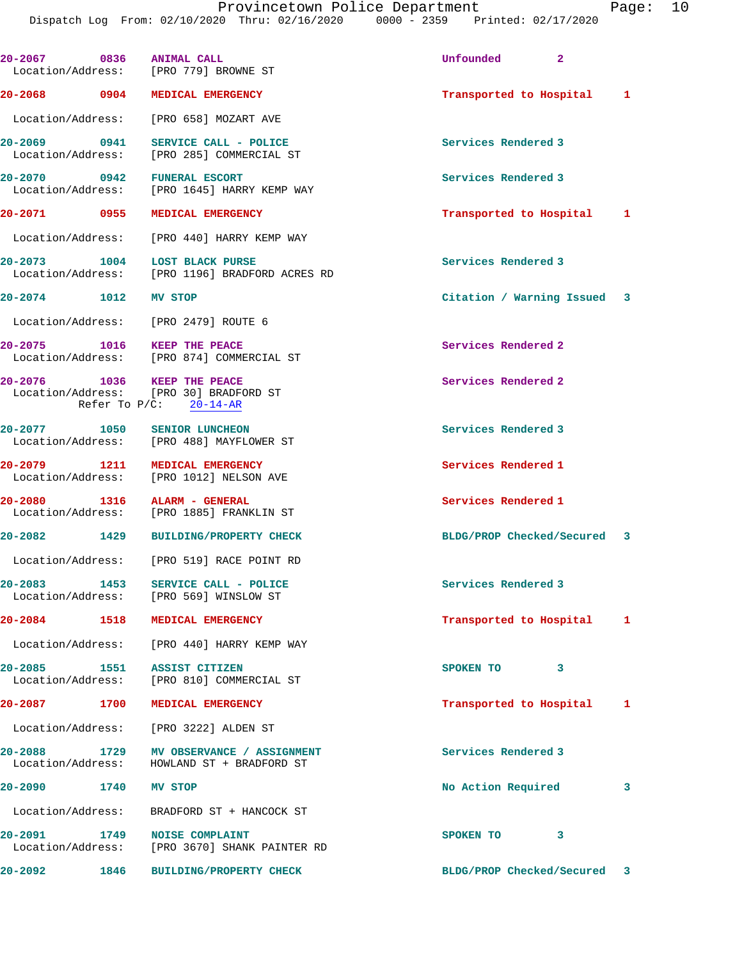Dispatch Log From: 02/10/2020 Thru: 02/16/2020 0000 - 2359 Printed: 02/17/2020

**20-2067 0836 ANIMAL CALL Unfounded 2**  Location/Address: [PRO 779] BROWNE ST **20-2068 0904 MEDICAL EMERGENCY Transported to Hospital 1** Location/Address: [PRO 658] MOZART AVE **20-2069 0941 SERVICE CALL - POLICE Services Rendered 3**  Location/Address: [PRO 285] COMMERCIAL ST **20-2070 0942 FUNERAL ESCORT Services Rendered 3**  [PRO 1645] HARRY KEMP WAY **20-2071 0955 MEDICAL EMERGENCY Transported to Hospital 1** Location/Address: [PRO 440] HARRY KEMP WAY **20-2073 1004 LOST BLACK PURSE Services Rendered 3**  Location/Address: [PRO 1196] BRADFORD ACRES RD **20-2074 1012 MV STOP Citation / Warning Issued 3** Location/Address: [PRO 2479] ROUTE 6 **20-2075 1016 KEEP THE PEACE Services Rendered 2**  Location/Address: [PRO 874] COMMERCIAL ST **20-2076 1036 KEEP THE PEACE Services Rendered 2**  Location/Address: [PRO 30] BRADFORD ST Refer To P/C: 20-14-AR **20-2077 1050 SENIOR LUNCHEON Services Rendered 3**  Location/Address: [PRO 488] MAYFLOWER ST **20-2079 1211 MEDICAL EMERGENCY Services Rendered 1**  Location/Address: [PRO 1012] NELSON AVE **20-2080 1316 ALARM - GENERAL Services Rendered 1**  [PRO 1885] FRANKLIN ST **20-2082 1429 BUILDING/PROPERTY CHECK BLDG/PROP Checked/Secured 3** Location/Address: [PRO 519] RACE POINT RD **20-2083 1453 SERVICE CALL - POLICE Services Rendered 3**  Location/Address: [PRO 569] WINSLOW ST **20-2084 1518 MEDICAL EMERGENCY Transported to Hospital 1** Location/Address: [PRO 440] HARRY KEMP WAY **20-2085 1551 ASSIST CITIZEN SPOKEN TO 3**  Location/Address: [PRO 810] COMMERCIAL ST **20-2087 1700 MEDICAL EMERGENCY Transported to Hospital 1** Location/Address: [PRO 3222] ALDEN ST **20-2088 1729 MV OBSERVANCE / ASSIGNMENT Services Rendered 3**  Location/Address: HOWLAND ST + BRADFORD ST **20-2090 1740 MV STOP No Action Required 3** Location/Address: BRADFORD ST + HANCOCK ST **20-2091 1749 NOISE COMPLAINT SPOKEN TO 3**  Location/Address: [PRO 3670] SHANK PAINTER RD **20-2092 1846 BUILDING/PROPERTY CHECK BLDG/PROP Checked/Secured 3**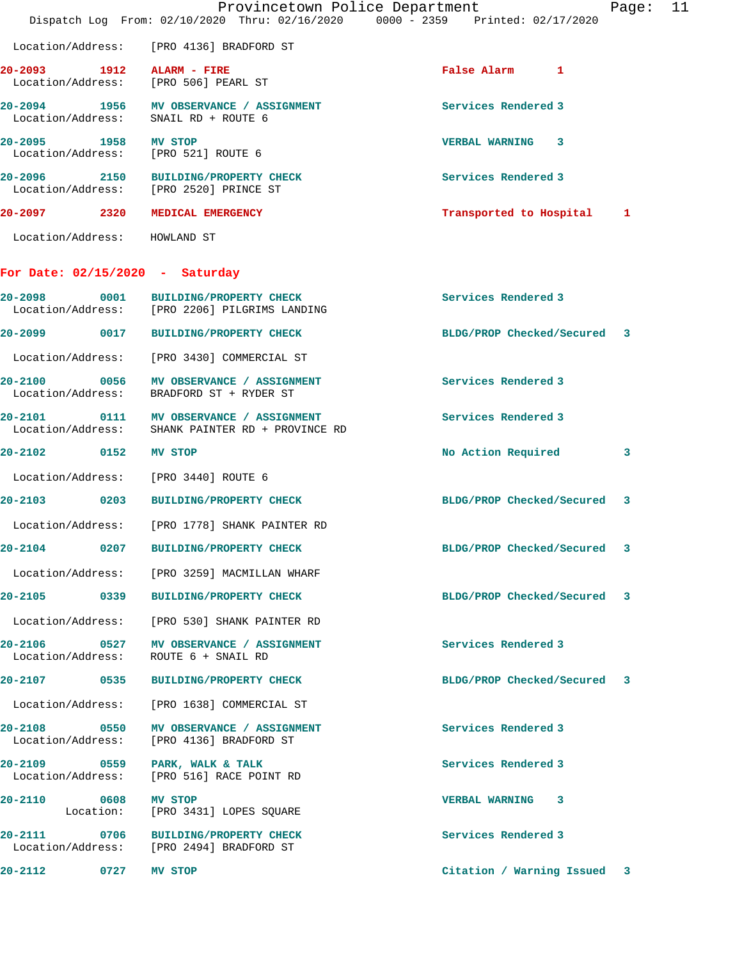|                                                                   |                                                                                       | Provincetown Police Department<br>Dispatch Log From: 02/10/2020 Thru: 02/16/2020 0000 - 2359 Printed: 02/17/2020 | 11<br>Page: |
|-------------------------------------------------------------------|---------------------------------------------------------------------------------------|------------------------------------------------------------------------------------------------------------------|-------------|
|                                                                   | Location/Address: [PRO 4136] BRADFORD ST                                              |                                                                                                                  |             |
| 20-2093 1912 ALARM - FIRE<br>Location/Address: [PRO 506] PEARL ST |                                                                                       | False Alarm 1                                                                                                    |             |
| Location/Address:                                                 | 20-2094 1956 MV OBSERVANCE / ASSIGNMENT<br>SNAIL RD + ROUTE 6                         | Services Rendered 3                                                                                              |             |
| 20-2095 1958<br>Location/Address: [PRO 521] ROUTE 6               | MV STOP                                                                               | VERBAL WARNING 3                                                                                                 |             |
|                                                                   | 20-2096 2150 BUILDING/PROPERTY CHECK<br>Location/Address: [PRO 2520] PRINCE ST        | Services Rendered 3                                                                                              |             |
| 20-2097 2320 MEDICAL EMERGENCY                                    |                                                                                       | Transported to Hospital 1                                                                                        |             |
| Location/Address: HOWLAND ST                                      |                                                                                       |                                                                                                                  |             |
| For Date: $02/15/2020 - Saturday$                                 |                                                                                       |                                                                                                                  |             |
|                                                                   | 20-2098 0001 BUILDING/PROPERTY CHECK<br>Location/Address: [PRO 2206] PILGRIMS LANDING | Services Rendered 3                                                                                              |             |
|                                                                   | 20-2099 0017 BUILDING/PROPERTY CHECK                                                  | BLDG/PROP Checked/Secured 3                                                                                      |             |
| Location/Address:                                                 | [PRO 3430] COMMERCIAL ST                                                              |                                                                                                                  |             |
|                                                                   | 20-2100 0056 MV OBSERVANCE / ASSIGNMENT<br>Location/Address: BRADFORD ST + RYDER ST   | Services Rendered 3                                                                                              |             |
| 20-2101<br>Location/Address:                                      | 0111 MV OBSERVANCE / ASSIGNMENT<br>SHANK PAINTER RD + PROVINCE RD                     | Services Rendered 3                                                                                              |             |
| 20-2102 0152                                                      | MV STOP                                                                               | No Action Required                                                                                               | 3           |
| Location/Address: [PRO 3440] ROUTE 6                              |                                                                                       |                                                                                                                  |             |
| 20-2103                                                           | 0203 BUILDING/PROPERTY CHECK                                                          | BLDG/PROP Checked/Secured 3                                                                                      |             |
|                                                                   | Location/Address: [PRO 1778] SHANK PAINTER RD                                         |                                                                                                                  |             |
| 20-2104<br>$\sim$ 0207                                            | <b>BUILDING/PROPERTY CHECK</b>                                                        | BLDG/PROP Checked/Secured                                                                                        |             |
|                                                                   | Location/Address: [PRO 3259] MACMILLAN WHARF                                          |                                                                                                                  |             |
|                                                                   | 20-2105 0339 BUILDING/PROPERTY CHECK                                                  | BLDG/PROP Checked/Secured 3                                                                                      |             |
|                                                                   | Location/Address: [PRO 530] SHANK PAINTER RD                                          |                                                                                                                  |             |
| Location/Address: ROUTE 6 + SNAIL RD                              | 20-2106 0527 MV OBSERVANCE / ASSIGNMENT                                               | Services Rendered 3                                                                                              |             |
|                                                                   | 20-2107 0535 BUILDING/PROPERTY CHECK                                                  | BLDG/PROP Checked/Secured<br>-3                                                                                  |             |
|                                                                   | Location/Address: [PRO 1638] COMMERCIAL ST                                            |                                                                                                                  |             |
| Location/Address:                                                 | 20-2108 0550 MV OBSERVANCE / ASSIGNMENT<br>[PRO 4136] BRADFORD ST                     | Services Rendered 3                                                                                              |             |
|                                                                   | 20-2109 0559 PARK, WALK & TALK<br>Location/Address: [PRO 516] RACE POINT RD           | Services Rendered 3                                                                                              |             |
| 20-2110 0608 MV STOP<br>Location:                                 | [PRO 3431] LOPES SQUARE                                                               | VERBAL WARNING 3                                                                                                 |             |
|                                                                   | 20-2111 0706 BUILDING/PROPERTY CHECK<br>Location/Address: [PRO 2494] BRADFORD ST      | Services Rendered 3                                                                                              |             |
| 0727<br>20-2112                                                   | MV STOP                                                                               | Citation / Warning Issued 3                                                                                      |             |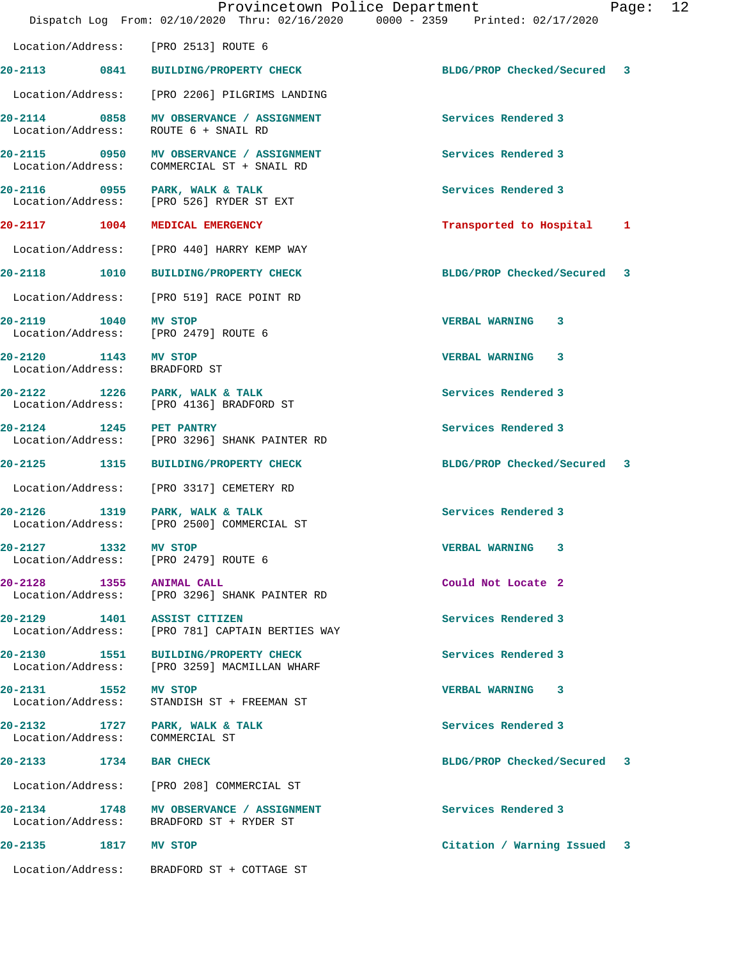|                                                       |      | Provincetown Police Department<br>Dispatch Log From: 02/10/2020 Thru: 02/16/2020 0000 - 2359 Printed: 02/17/2020 |                             | Page: | 12 |
|-------------------------------------------------------|------|------------------------------------------------------------------------------------------------------------------|-----------------------------|-------|----|
|                                                       |      | Location/Address: [PRO 2513] ROUTE 6                                                                             |                             |       |    |
|                                                       |      | 20-2113 0841 BUILDING/PROPERTY CHECK                                                                             | BLDG/PROP Checked/Secured 3 |       |    |
|                                                       |      | Location/Address: [PRO 2206] PILGRIMS LANDING                                                                    |                             |       |    |
|                                                       |      | 20-2114 0858 MV OBSERVANCE / ASSIGNMENT<br>Location/Address: ROUTE 6 + SNAIL RD                                  | Services Rendered 3         |       |    |
| Location/Address:                                     |      | 20-2115 0950 MV OBSERVANCE / ASSIGNMENT<br>COMMERCIAL ST + SNAIL RD                                              | Services Rendered 3         |       |    |
|                                                       |      | 20-2116 0955 PARK, WALK & TALK<br>Location/Address: [PRO 526] RYDER ST EXT                                       | Services Rendered 3         |       |    |
|                                                       |      | 20-2117 1004 MEDICAL EMERGENCY                                                                                   | Transported to Hospital 1   |       |    |
|                                                       |      | Location/Address: [PRO 440] HARRY KEMP WAY                                                                       |                             |       |    |
|                                                       |      | 20-2118 1010 BUILDING/PROPERTY CHECK                                                                             | BLDG/PROP Checked/Secured 3 |       |    |
|                                                       |      | Location/Address: [PRO 519] RACE POINT RD                                                                        |                             |       |    |
|                                                       |      | 20-2119 1040 MV STOP<br>Location/Address: [PRO 2479] ROUTE 6                                                     | VERBAL WARNING 3            |       |    |
| 20-2120 1143 MV STOP<br>Location/Address: BRADFORD ST |      |                                                                                                                  | VERBAL WARNING 3            |       |    |
|                                                       |      | 20-2122 1226 PARK, WALK & TALK<br>Location/Address: [PRO 4136] BRADFORD ST                                       | Services Rendered 3         |       |    |
| 20-2124 1245 PET PANTRY                               |      | Location/Address: [PRO 3296] SHANK PAINTER RD                                                                    | Services Rendered 3         |       |    |
|                                                       |      | 20-2125 1315 BUILDING/PROPERTY CHECK                                                                             | BLDG/PROP Checked/Secured 3 |       |    |
|                                                       |      | Location/Address: [PRO 3317] CEMETERY RD                                                                         |                             |       |    |
|                                                       |      | 20-2126 1319 PARK, WALK & TALK<br>Location/Address: [PRO 2500] COMMERCIAL ST                                     | Services Rendered 3         |       |    |
| 20-2127                                               | 1332 | MV STOP<br>Location/Address: [PRO 2479] ROUTE 6                                                                  | VERBAL WARNING 3            |       |    |
| 20-2128 1355 ANIMAL CALL                              |      | Location/Address: [PRO 3296] SHANK PAINTER RD                                                                    | Could Not Locate 2          |       |    |
|                                                       |      | 20-2129 1401 ASSIST CITIZEN<br>Location/Address: [PRO 781] CAPTAIN BERTIES WAY                                   | Services Rendered 3         |       |    |
| 20-2130 1551                                          |      | <b>BUILDING/PROPERTY CHECK</b><br>Location/Address: [PRO 3259] MACMILLAN WHARF                                   | Services Rendered 3         |       |    |
| 20-2131 1552 MV STOP                                  |      | Location/Address: STANDISH ST + FREEMAN ST                                                                       | VERBAL WARNING 3            |       |    |
| Location/Address:                                     |      | 20-2132 1727 PARK, WALK & TALK<br>COMMERCIAL ST                                                                  | Services Rendered 3         |       |    |
| 20-2133 1734 BAR CHECK                                |      |                                                                                                                  | BLDG/PROP Checked/Secured 3 |       |    |
|                                                       |      | Location/Address: [PRO 208] COMMERCIAL ST                                                                        |                             |       |    |
|                                                       |      | 20-2134 1748 MV OBSERVANCE / ASSIGNMENT<br>Location/Address: BRADFORD ST + RYDER ST                              | Services Rendered 3         |       |    |
| 20-2135 1817 MV STOP                                  |      |                                                                                                                  | Citation / Warning Issued 3 |       |    |
|                                                       |      | Location/Address: BRADFORD ST + COTTAGE ST                                                                       |                             |       |    |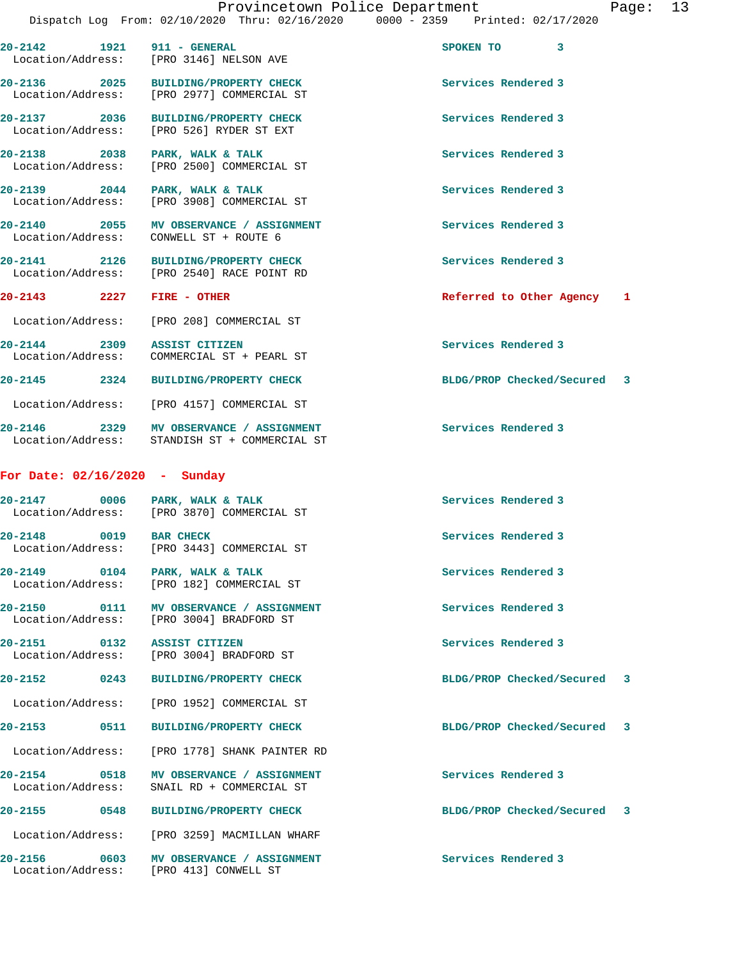| 20-2142 1921 911 - GENERAL      | Location/Address: [PRO 3146] NELSON AVE                                                  | SPOKEN TO 3                 |    |
|---------------------------------|------------------------------------------------------------------------------------------|-----------------------------|----|
| 20-2136 2025                    | BUILDING/PROPERTY CHECK<br>Location/Address: [PRO 2977] COMMERCIAL ST                    | Services Rendered 3         |    |
| 20-2137 2036                    | <b>BUILDING/PROPERTY CHECK</b><br>Location/Address: [PRO 526] RYDER ST EXT               | Services Rendered 3         |    |
| 20-2138 2038                    | PARK, WALK & TALK<br>Location/Address: [PRO 2500] COMMERCIAL ST                          | Services Rendered 3         |    |
| 20-2139 2044                    | PARK, WALK & TALK<br>Location/Address: [PRO 3908] COMMERCIAL ST                          | Services Rendered 3         |    |
|                                 | 20-2140 2055 MV OBSERVANCE / ASSIGNMENT<br>Location/Address: CONWELL ST + ROUTE 6        | Services Rendered 3         |    |
|                                 | 20-2141 2126 BUILDING/PROPERTY CHECK<br>Location/Address: [PRO 2540] RACE POINT RD       | Services Rendered 3         |    |
| 20-2143 2227                    | FIRE - OTHER                                                                             | Referred to Other Agency    | -1 |
|                                 | Location/Address: [PRO 208] COMMERCIAL ST                                                |                             |    |
| 20-2144 2309                    | <b>ASSIST CITIZEN</b><br>Location/Address: COMMERCIAL ST + PEARL ST                      | Services Rendered 3         |    |
|                                 | 20-2145 2324 BUILDING/PROPERTY CHECK                                                     | BLDG/PROP Checked/Secured 3 |    |
|                                 | Location/Address: [PRO 4157] COMMERCIAL ST                                               |                             |    |
|                                 | 20-2146 2329 MV OBSERVANCE / ASSIGNMENT<br>Location/Address: STANDISH ST + COMMERCIAL ST | Services Rendered 3         |    |
| For Date: $02/16/2020 -$ Sunday |                                                                                          |                             |    |
|                                 | 20-2147 0006 PARK, WALK & TALK<br>Location/Address: [PRO 3870] COMMERCIAL ST             | Services Rendered 3         |    |
| 20-2148 0019                    | <b>BAR CHECK</b><br>Location/Address: [PRO 3443] COMMERCIAL ST                           | Services Rendered 3         |    |
| 20-2149<br>0104                 | PARK, WALK & TALK<br>Location/Address: [PRO 182] COMMERCIAL ST                           | Services Rendered 3         |    |
| 20-2150                         | 0111 MV OBSERVANCE / ASSIGNMENT<br>Location/Address: [PRO 3004] BRADFORD ST              | Services Rendered 3         |    |
| 20-2151 0132 ASSIST CITIZEN     | Location/Address: [PRO 3004] BRADFORD ST                                                 | Services Rendered 3         |    |
| 20-2152                         | 0243 BUILDING/PROPERTY CHECK                                                             | BLDG/PROP Checked/Secured 3 |    |
|                                 | Location/Address: [PRO 1952] COMMERCIAL ST                                               |                             |    |
| 20-2153 0511                    | <b>BUILDING/PROPERTY CHECK</b>                                                           | BLDG/PROP Checked/Secured 3 |    |
|                                 | Location/Address: [PRO 1778] SHANK PAINTER RD                                            |                             |    |
| 20-2154 0518                    | <b>MV OBSERVANCE / ASSIGNMENT</b><br>Location/Address: SNAIL RD + COMMERCIAL ST          | Services Rendered 3         |    |
| 20-2155                         | 0548 BUILDING/PROPERTY CHECK                                                             | BLDG/PROP Checked/Secured 3 |    |
|                                 | Location/Address: [PRO 3259] MACMILLAN WHARF                                             |                             |    |
|                                 | 20-2156 0603 MV OBSERVANCE / ASSIGNMENT<br>Location/Address: [PRO 413] CONWELL ST        | Services Rendered 3         |    |
|                                 |                                                                                          |                             |    |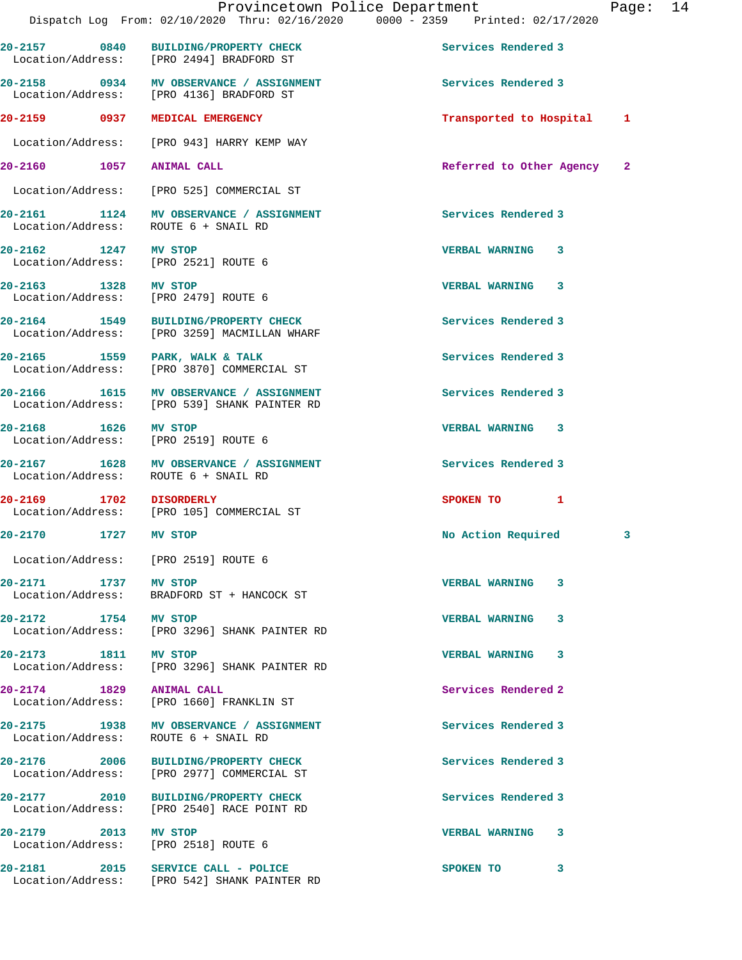|                                   |      | Provincetown Police Department<br>Dispatch Log From: 02/10/2020 Thru: 02/16/2020 0000 - 2359 Printed: 02/17/2020 |                            | Page: 14 |  |
|-----------------------------------|------|------------------------------------------------------------------------------------------------------------------|----------------------------|----------|--|
|                                   |      | 20-2157 0840 BUILDING/PROPERTY CHECK<br>Location/Address: [PRO 2494] BRADFORD ST                                 | Services Rendered 3        |          |  |
|                                   |      | 20-2158 0934 MV OBSERVANCE / ASSIGNMENT<br>Location/Address: [PRO 4136] BRADFORD ST                              | Services Rendered 3        |          |  |
|                                   |      | 20-2159 0937 MEDICAL EMERGENCY                                                                                   | Transported to Hospital 1  |          |  |
|                                   |      | Location/Address: [PRO 943] HARRY KEMP WAY                                                                       |                            |          |  |
| 20-2160 1057 ANIMAL CALL          |      |                                                                                                                  | Referred to Other Agency 2 |          |  |
|                                   |      | Location/Address: [PRO 525] COMMERCIAL ST                                                                        |                            |          |  |
|                                   |      | 20-2161 1124 MV OBSERVANCE / ASSIGNMENT<br>Location/Address: ROUTE 6 + SNAIL RD                                  | Services Rendered 3        |          |  |
|                                   |      | 20-2162 1247 MV STOP<br>Location/Address: [PRO 2521] ROUTE 6                                                     | VERBAL WARNING 3           |          |  |
|                                   |      | 20-2163 1328 MV STOP<br>Location/Address: [PRO 2479] ROUTE 6                                                     | VERBAL WARNING 3           |          |  |
|                                   |      | 20-2164 1549 BUILDING/PROPERTY CHECK<br>Location/Address: [PRO 3259] MACMILLAN WHARF                             | Services Rendered 3        |          |  |
|                                   |      | 20-2165 1559 PARK, WALK & TALK<br>Location/Address: [PRO 3870] COMMERCIAL ST                                     | Services Rendered 3        |          |  |
|                                   |      | 20-2166 1615 MV OBSERVANCE / ASSIGNMENT<br>Location/Address: [PRO 539] SHANK PAINTER RD                          | Services Rendered 3        |          |  |
| 20-2168 1626 MV STOP              |      | Location/Address: [PRO 2519] ROUTE 6                                                                             | <b>VERBAL WARNING 3</b>    |          |  |
|                                   |      | 20-2167 1628 MV OBSERVANCE / ASSIGNMENT<br>Location/Address: ROUTE 6 + SNAIL RD                                  | Services Rendered 3        |          |  |
| 20-2169 1702 DISORDERLY           |      | Location/Address: [PRO 105] COMMERCIAL ST                                                                        | SPOKEN TO 1                |          |  |
| 20-2170                           | 1727 | MV STOP                                                                                                          | No Action Required         | 3        |  |
|                                   |      | Location/Address: [PRO 2519] ROUTE 6                                                                             |                            |          |  |
| 20-2171 1737<br>Location/Address: |      | MV STOP<br>BRADFORD ST + HANCOCK ST                                                                              | <b>VERBAL WARNING</b><br>3 |          |  |
| 20-2172 1754                      |      | <b>MV STOP</b><br>Location/Address: [PRO 3296] SHANK PAINTER RD                                                  | <b>VERBAL WARNING</b><br>3 |          |  |
| 20-2173 1811<br>Location/Address: |      | MV STOP<br>[PRO 3296] SHANK PAINTER RD                                                                           | <b>VERBAL WARNING 3</b>    |          |  |
| 20-2174 1829 ANIMAL CALL          |      | Location/Address: [PRO 1660] FRANKLIN ST                                                                         | Services Rendered 2        |          |  |
| 20-2175                           |      | 1938 MV OBSERVANCE / ASSIGNMENT<br>Location/Address: ROUTE 6 + SNAIL RD                                          | Services Rendered 3        |          |  |
|                                   |      |                                                                                                                  |                            |          |  |

**20-2176 2006 BUILDING/PROPERTY CHECK Services Rendered 3**  Location/Address: [PRO 2977] COMMERCIAL ST

**20-2177 2010 BUILDING/PROPERTY CHECK Services Rendered 3**  Location/Address: [PRO 2540] RACE POINT RD

**20-2179 2013 MV STOP VERBAL WARNING 3** 

Location/Address: [PRO 2518] ROUTE 6

**20-2181 2015 SERVICE CALL - POLICE SPOKEN TO 3**  Location/Address: [PRO 542] SHANK PAINTER RD